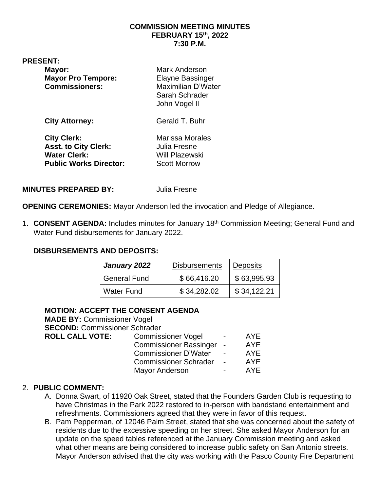#### **COMMISSION MEETING MINUTES FEBRUARY 15th, 2022 7:30 P.M.**

#### **PRESENT:**

| Mayor:<br><b>Mayor Pro Tempore:</b><br><b>Commissioners:</b>                                              | <b>Mark Anderson</b><br><b>Elayne Bassinger</b><br><b>Maximilian D'Water</b><br>Sarah Schrader<br>John Vogel II |  |  |
|-----------------------------------------------------------------------------------------------------------|-----------------------------------------------------------------------------------------------------------------|--|--|
| <b>City Attorney:</b>                                                                                     | Gerald T. Buhr                                                                                                  |  |  |
| <b>City Clerk:</b><br><b>Asst. to City Clerk:</b><br><b>Water Clerk:</b><br><b>Public Works Director:</b> | <b>Marissa Morales</b><br>Julia Fresne<br>Will Plazewski<br><b>Scott Morrow</b>                                 |  |  |
|                                                                                                           |                                                                                                                 |  |  |

#### **MINUTES PREPARED BY:** Julia Fresne

**OPENING CEREMONIES:** Mayor Anderson led the invocation and Pledge of Allegiance.

1. **CONSENT AGENDA:** Includes minutes for January 18th Commission Meeting; General Fund and Water Fund disbursements for January 2022.

#### **DISBURSEMENTS AND DEPOSITS:**

| January 2022        | <b>Disbursements</b> | <b>Deposits</b> |
|---------------------|----------------------|-----------------|
| <b>General Fund</b> | \$66,416.20          | \$63,995.93     |
| <b>Water Fund</b>   | \$34,282.02          | \$34,122.21     |

## **MOTION: ACCEPT THE CONSENT AGENDA**

**MADE BY:** Commissioner Vogel **SECOND:** Commissioner Schrader **ROLL CALL VOTE:** Commissioner Vogel - AYE Commissioner Bassinger - AYE Commissioner D'Water - AYE Commissioner Schrader - AYE Mayor Anderson **- AYE** 

#### 2. **PUBLIC COMMENT:**

- A. Donna Swart, of 11920 Oak Street, stated that the Founders Garden Club is requesting to have Christmas in the Park 2022 restored to in-person with bandstand entertainment and refreshments. Commissioners agreed that they were in favor of this request.
- B. Pam Pepperman, of 12046 Palm Street, stated that she was concerned about the safety of residents due to the excessive speeding on her street. She asked Mayor Anderson for an update on the speed tables referenced at the January Commission meeting and asked what other means are being considered to increase public safety on San Antonio streets. Mayor Anderson advised that the city was working with the Pasco County Fire Department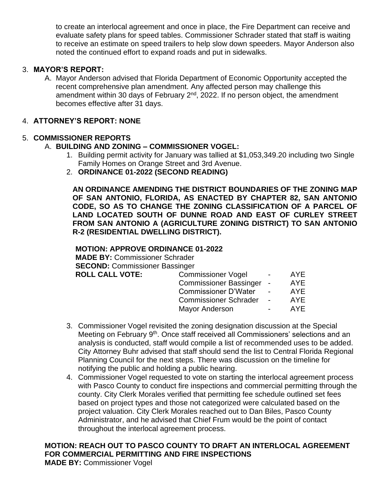to create an interlocal agreement and once in place, the Fire Department can receive and evaluate safety plans for speed tables. Commissioner Schrader stated that staff is waiting to receive an estimate on speed trailers to help slow down speeders. Mayor Anderson also noted the continued effort to expand roads and put in sidewalks.

## 3. **MAYOR'S REPORT:**

A. Mayor Anderson advised that Florida Department of Economic Opportunity accepted the recent comprehensive plan amendment. Any affected person may challenge this amendment within 30 days of February  $2<sup>nd</sup>$ , 2022. If no person object, the amendment becomes effective after 31 days.

#### 4. **ATTORNEY'S REPORT: NONE**

## 5. **COMMISSIONER REPORTS**

## A. **BUILDING AND ZONING – COMMISSIONER VOGEL:**

- 1. Building permit activity for January was tallied at \$1,053,349.20 including two Single Family Homes on Orange Street and 3rd Avenue.
- 2. **ORDINANCE 01-2022 (SECOND READING)**

**AN ORDINANCE AMENDING THE DISTRICT BOUNDARIES OF THE ZONING MAP OF SAN ANTONIO, FLORIDA, AS ENACTED BY CHAPTER 82, SAN ANTONIO CODE, SO AS TO CHANGE THE ZONING CLASSIFICATION OF A PARCEL OF LAND LOCATED SOUTH OF DUNNE ROAD AND EAST OF CURLEY STREET FROM SAN ANTONIO A (AGRICULTURE ZONING DISTRICT) TO SAN ANTONIO R-2 (RESIDENTIAL DWELLING DISTRICT).**

#### **MOTION: APPROVE ORDINANCE 01-2022**

**MADE BY:** Commissioner Schrader **SECOND:** Commissioner Bassinger **ROLL CALL VOTE:** 

| AYE        |
|------------|
| <b>AYE</b> |
| AYE        |
| <b>AYE</b> |
| <b>AYE</b> |
|            |

- 3. Commissioner Vogel revisited the zoning designation discussion at the Special Meeting on February 9<sup>th</sup>. Once staff received all Commissioners' selections and an analysis is conducted, staff would compile a list of recommended uses to be added. City Attorney Buhr advised that staff should send the list to Central Florida Regional Planning Council for the next steps. There was discussion on the timeline for notifying the public and holding a public hearing.
- 4. Commissioner Vogel requested to vote on starting the interlocal agreement process with Pasco County to conduct fire inspections and commercial permitting through the county. City Clerk Morales verified that permitting fee schedule outlined set fees based on project types and those not categorized were calculated based on the project valuation. City Clerk Morales reached out to Dan Biles, Pasco County Administrator, and he advised that Chief Frum would be the point of contact throughout the interlocal agreement process.

## **MOTION: REACH OUT TO PASCO COUNTY TO DRAFT AN INTERLOCAL AGREEMENT FOR COMMERCIAL PERMITTING AND FIRE INSPECTIONS**

**MADE BY:** Commissioner Vogel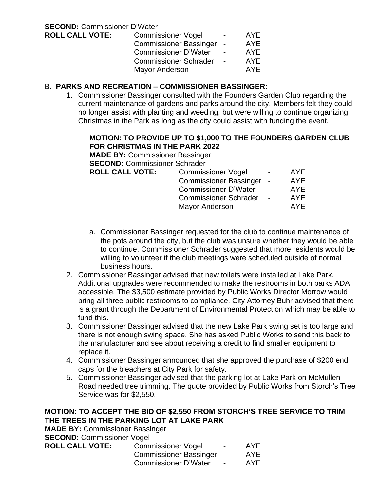## B. **PARKS AND RECREATION – COMMISSIONER BASSINGER:**

1. Commissioner Bassinger consulted with the Founders Garden Club regarding the current maintenance of gardens and parks around the city. Members felt they could no longer assist with planting and weeding, but were willing to continue organizing Christmas in the Park as long as the city could assist with funding the event.

## **MOTION: TO PROVIDE UP TO \$1,000 TO THE FOUNDERS GARDEN CLUB FOR CHRISTMAS IN THE PARK 2022**

**MADE BY:** Commissioner Bassinger

**SECOND:** Commissioner Schrader

| <b>ROLL CALL VOTE:</b> | <b>Commissioner Vogel</b>     | $\overline{\phantom{0}}$ | AYE.       |
|------------------------|-------------------------------|--------------------------|------------|
|                        | <b>Commissioner Bassinger</b> | $\sim$                   | <b>AYE</b> |
|                        | <b>Commissioner D'Water</b>   | $\overline{a}$           | AYF        |
|                        | <b>Commissioner Schrader</b>  | $\overline{a}$           | AYF        |
|                        | <b>Mayor Anderson</b>         | $\blacksquare$           | <b>AYF</b> |

- a. Commissioner Bassinger requested for the club to continue maintenance of the pots around the city, but the club was unsure whether they would be able to continue. Commissioner Schrader suggested that more residents would be willing to volunteer if the club meetings were scheduled outside of normal business hours.
- 2. Commissioner Bassinger advised that new toilets were installed at Lake Park. Additional upgrades were recommended to make the restrooms in both parks ADA accessible. The \$3,500 estimate provided by Public Works Director Morrow would bring all three public restrooms to compliance. City Attorney Buhr advised that there is a grant through the Department of Environmental Protection which may be able to fund this.
- 3. Commissioner Bassinger advised that the new Lake Park swing set is too large and there is not enough swing space. She has asked Public Works to send this back to the manufacturer and see about receiving a credit to find smaller equipment to replace it.
- 4. Commissioner Bassinger announced that she approved the purchase of \$200 end caps for the bleachers at City Park for safety.
- 5. Commissioner Bassinger advised that the parking lot at Lake Park on McMullen Road needed tree trimming. The quote provided by Public Works from Storch's Tree Service was for \$2,550.

## **MOTION: TO ACCEPT THE BID OF \$2,550 FROM STORCH'S TREE SERVICE TO TRIM THE TREES IN THE PARKING LOT AT LAKE PARK**

**MADE BY:** Commissioner Bassinger **SECOND:** Commissioner Vogel **ROLL CALL VOTE:** 

| Commissioner Vogel            | $\overline{\phantom{0}}$ | AYE |
|-------------------------------|--------------------------|-----|
| <b>Commissioner Bassinger</b> |                          | AYE |
| <b>Commissioner D'Water</b>   | $\overline{\phantom{0}}$ | AYE |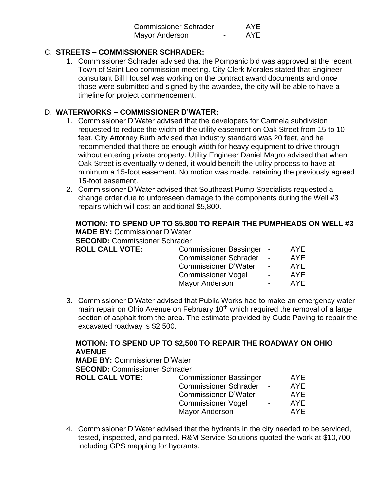| <b>Commissioner Schrader</b> | <b>AYE</b> |
|------------------------------|------------|
| Mayor Anderson               | <b>AYE</b> |

## C. **STREETS – COMMISSIONER SCHRADER:**

1. Commissioner Schrader advised that the Pompanic bid was approved at the recent Town of Saint Leo commission meeting. City Clerk Morales stated that Engineer consultant Bill Housel was working on the contract award documents and once those were submitted and signed by the awardee, the city will be able to have a timeline for project commencement.

## D. **WATERWORKS – COMMISSIONER D'WATER:**

- 1. Commissioner D'Water advised that the developers for Carmela subdivision requested to reduce the width of the utility easement on Oak Street from 15 to 10 feet. City Attorney Burh advised that industry standard was 20 feet, and he recommended that there be enough width for heavy equipment to drive through without entering private property. Utility Engineer Daniel Magro advised that when Oak Street is eventually widened, it would beneift the utility process to have at minimum a 15-foot easement. No motion was made, retaining the previously agreed 15-foot easement.
- 2. Commissioner D'Water advised that Southeast Pump Specialists requested a change order due to unforeseen damage to the components during the Well #3 repairs which will cost an additional \$5,800.

# **MOTION: TO SPEND UP TO \$5,800 TO REPAIR THE PUMPHEADS ON WELL #3 MADE BY:** Commissioner D'Water

**SECOND:** Commissioner Schrader

| <b>ROLL CALL VOTE:</b> | Commissioner Bassinger -     |                          | <b>AYE</b> |
|------------------------|------------------------------|--------------------------|------------|
|                        | <b>Commissioner Schrader</b> | $\sim$                   | <b>AYE</b> |
|                        | <b>Commissioner D'Water</b>  | $\overline{\phantom{0}}$ | AYF        |
|                        | <b>Commissioner Vogel</b>    | $\sim$                   | <b>AYE</b> |
|                        | <b>Mayor Anderson</b>        |                          | AYF        |
|                        |                              |                          |            |

3. Commissioner D'Water advised that Public Works had to make an emergency water main repair on Ohio Avenue on February 10<sup>th</sup> which required the removal of a large section of asphalt from the area. The estimate provided by Gude Paving to repair the excavated roadway is \$2,500.

## **MOTION: TO SPEND UP TO \$2,500 TO REPAIR THE ROADWAY ON OHIO AVENUE**

**MADE BY:** Commissioner D'Water **SECOND:** Commissioner Schrader

**ROLL CALL** 

| <b>VOTE:</b> | Commissioner Bassinger -     |                | AYE. |
|--------------|------------------------------|----------------|------|
|              | <b>Commissioner Schrader</b> |                | AYF  |
|              | <b>Commissioner D'Water</b>  |                | AYF  |
|              | <b>Commissioner Vogel</b>    | $\blacksquare$ | AYE  |
|              | Mayor Anderson               |                | AYF  |
|              |                              |                |      |

4. Commissioner D'Water advised that the hydrants in the city needed to be serviced, tested, inspected, and painted. R&M Service Solutions quoted the work at \$10,700, including GPS mapping for hydrants.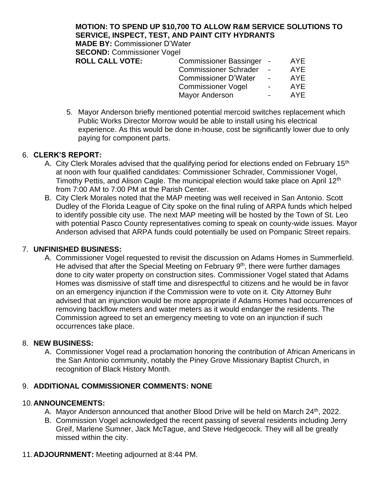**MOTION: TO SPEND UP \$10,700 TO ALLOW R&M SERVICE SOLUTIONS TO SERVICE, INSPECT, TEST, AND PAINT CITY HYDRANTS MADE BY:** Commissioner D'Water **SECOND: Commissioner Vogel ROLL CALL VOTE:** Commissioner Bassinger - AYE Commissioner Schrader - AYE Commissioner D'Water - AYE

> Commissioner Vogel - AYE Mayor Anderson **- AYE**

5. Mayor Anderson briefly mentioned potential mercoid switches replacement which Public Works Director Morrow would be able to install using his electrical experience. As this would be done in-house, cost be significantly lower due to only paying for component parts.

#### 6. **CLERK'S REPORT:**

- A. City Clerk Morales advised that the qualifying period for elections ended on February 15<sup>th</sup> at noon with four qualified candidates: Commissioner Schrader, Commissioner Vogel, Timothy Pettis, and Alison Cagle. The municipal election would take place on April 12<sup>th</sup> from 7:00 AM to 7:00 PM at the Parish Center.
- B. City Clerk Morales noted that the MAP meeting was well received in San Antonio. Scott Dudley of the Florida League of City spoke on the final ruling of ARPA funds which helped to identify possible city use. The next MAP meeting will be hosted by the Town of St. Leo with potential Pasco County representatives coming to speak on county-wide issues. Mayor Anderson advised that ARPA funds could potentially be used on Pompanic Street repairs.

#### 7. **UNFINISHED BUSINESS:**

A. Commissioner Vogel requested to revisit the discussion on Adams Homes in Summerfield. He advised that after the Special Meeting on February  $9<sup>th</sup>$ , there were further damages done to city water property on construction sites. Commissioner Vogel stated that Adams Homes was dismissive of staff time and disrespectful to citizens and he would be in favor on an emergency injunction if the Commission were to vote on it. City Attorney Buhr advised that an injunction would be more appropriate if Adams Homes had occurrences of removing backflow meters and water meters as it would endanger the residents. The Commission agreed to set an emergency meeting to vote on an injunction if such occurrences take place.

#### 8. **NEW BUSINESS:**

A. Commissioner Vogel read a proclamation honoring the contribution of African Americans in the San Antonio community, notably the Piney Grove Missionary Baptist Church, in recognition of Black History Month.

## 9. **ADDITIONAL COMMISSIONER COMMENTS: NONE**

#### 10.**ANNOUNCEMENTS:**

- A. Mayor Anderson announced that another Blood Drive will be held on March 24<sup>th</sup>, 2022.
- B. Commission Vogel acknowledged the recent passing of several residents including Jerry Greif, Marlene Sumner, Jack McTague, and Steve Hedgecock. They will all be greatly missed within the city.
- 11.**ADJOURNMENT:** Meeting adjourned at 8:44 PM.